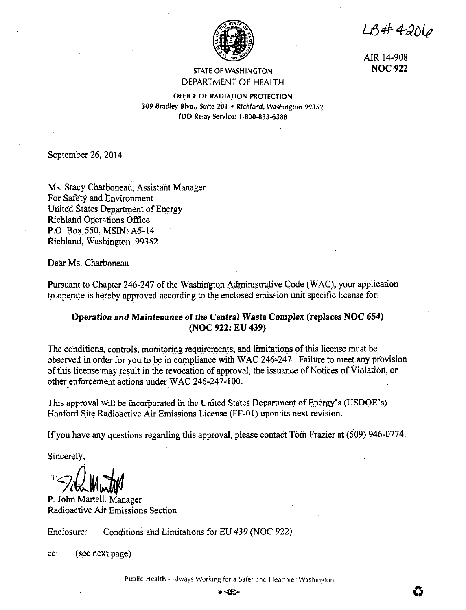$LB#4206$ 



AIR 14-908 **NOC 922** 

## **STATE OF WASHINGTON** DEPARTMENT OF HEALTH

OFFICE OF RADIATION PROTECTION 309 Bradley Blvd., Suite 201 . Richland, Washington 99352 TDD Relay Service: 1-800-833-6388

September 26, 2014

Ms. Stacy Charboneau, Assistant Manager For Safety and Environment United States Department of Energy **Richland Operations Office** P.O. Box 550, MSIN: A5-14 Richland, Washington 99352

Dear Ms. Charboneau

Pursuant to Chapter 246-247 of the Washington Administrative Code (WAC), your application to operate is hereby approved according to the enclosed emission unit specific license for:

# Operation and Maintenance of the Central Waste Complex (replaces NOC 654) (NOC 922; EU 439)

The conditions, controls, monitoring requirements, and limitations of this license must be observed in order for you to be in compliance with WAC 246-247. Failure to meet any provision of this license may result in the revocation of approval, the issuance of Notices of Violation, or other enforcement actions under WAC 246-247-100.

This approval will be incorporated in the United States Department of Energy's (USDOE's) Hanford Site Radioactive Air Emissions License (FF-01) upon its next revision.

If you have any questions regarding this approval, please contact Tom Frazier at (509) 946-0774.

Sincerely,

P. John Martell, Manager Radioactive Air Emissions Section

Enclosure: Conditions and Limitations for EU 439 (NOC 922)

cc: (see next page)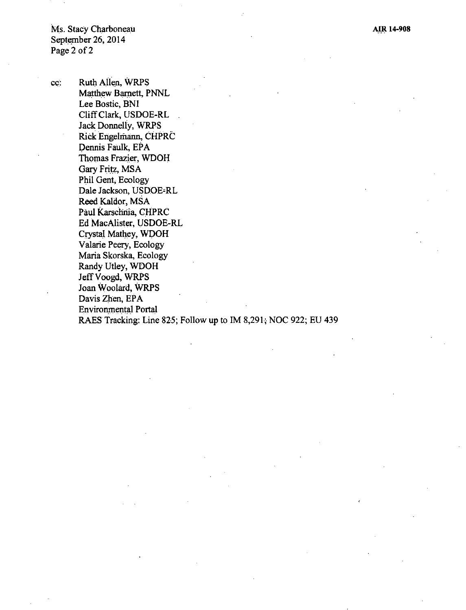**AIR 14-908** 

Ms. Stacy Charboneau September 26, 2014 Page 2 of 2

cc: Ruth Allen, WRPS Matthew Barnett, PNNL Lee Bostic, BNI Cliff Clark, USDOE-RL Jack Donnelly, WRPS Rick Engelmann, CHPRC Dennis Faulk, EPA Thomas Frazier, WDOH Gary Fritz, MSA Phil Gent, Ecology Dale Jackson, USDOE•RL Reed Kaldor, MSA Paul Karschnia, CHPRC Ed MacAlister, USDOE-RL Crystal Mathey, WDOH Valarie Peery, Ecology Maria Skorska, Ecology Randy Utley, WDOH Jeff Voogd, WRPS Joan Woolard, WRPs Davis Zhen, EPA Environmental Portal RAES Tracking: Line 825; Follow up to IM 8,291; NOC 922; EU 439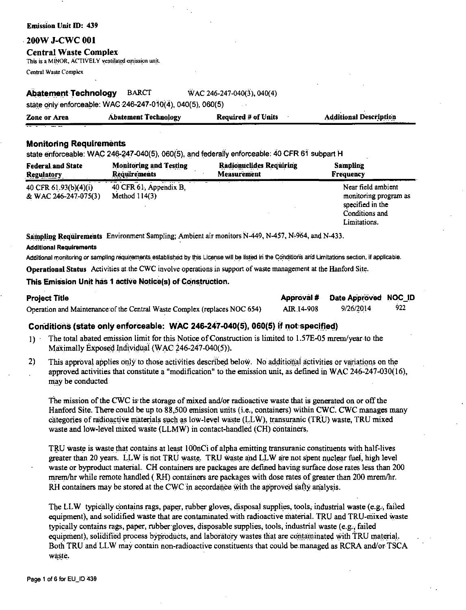**Emission Unit ID: 439** 

200W J-CWC 001

### **Central Waste Complex**

This is a MINOR, ACTIVELY ventilated emission unit.

Central Waste Coniplex

**Abatement Technology** BARCT WAC 246-247-040(3), 040(4)

state only enforceable: WAC 246-247-010(4), 040(5), 060(5)

| Zone or Area | <b>Abatement Technology</b> | <b>Required # of Units</b> | <b>Additional Description</b> |
|--------------|-----------------------------|----------------------------|-------------------------------|
|              |                             |                            |                               |

### **Monitoring Requirements**

state enforceable: WAC 246-247-040(5), 060(5), and federally enforceable: 40 CFR 61 subpart H

| <b>Federal and State</b>                      | <b>Monitoring and Testing</b>             | <b>Radionuclides Requiring</b> | Sampling                                                                                          |
|-----------------------------------------------|-------------------------------------------|--------------------------------|---------------------------------------------------------------------------------------------------|
| <b>Regulatory</b>                             | <b>Requirements</b>                       | <b>Measurement</b>             | <b>Frequency</b>                                                                                  |
| 40 CFR 61.93(b)(4)(i)<br>& WAC 246-247-075(3) | 40 CFR 61, Appendix B,<br>Method $114(3)$ |                                | Near field ambient<br>monitoring program as<br>specified in the<br>Conditions and<br>Limitations. |

Sampling Requirements Environment Sampling; Ambient air monitors N-449, N-457, N-964, and N-433.

### **Additional Requirements**

Additional monitoring or sampling requirements established by this License will be listed in the Conditions and Limitations section, if applicable.

**Operational Status** Activities at the CWC involve operations in support of waste management at the Hanford Site.

### This Emission Unit has 1 active Notice(s) of Construction.

| Project Title                                                             |            | Approval # Date Approved NOC_ID |     |
|---------------------------------------------------------------------------|------------|---------------------------------|-----|
| Operation and Maintenance of the Central Waste Complex (replaces NOC 654) | AIR 14-908 | 9/26/2014                       | 922 |

### Conditions (state only enforceable: WAC 246-247-040(5), 060(5) if not specified)

- The total abated emission limit for this Notice of Construction is limited to 1.57E-05 mrem/year to the  $1)$ . Maximally Exposed Individual (WAC 246-247-040(5)).
- $2)$ This approval applies only to those activities described below. No additional activities or variations on the approved activities that constitute a "modification" to the emission unit, as defined in WAC 246-247-030(16), may be conducted

The mission of the CWC is the storage of mixed and/or radioactive waste that is generated on or off the Hanford Site. There could be up to 88,500 emission units (i.e., containers) within CWC. CWC manages many categories of radioactive materials such as low-level waste (LLW), transuranic (TRU) waste, TRU mixed waste and low-level mixed waste (LLMW) in contact-handled (CH) containers.

TRU waste is waste that contains at least 100nCi of alpha emitting transuranic constituents with half-lives greater than 20 years. LLW is not TRU waste. TRU waste and LLW are not spent nuclear fuel, high level waste or byproduct material. CH containers are packages are defined having surface dose rates less than 200 mrem/hr while remote handled (RH) containers are packages with dose rates of greater than 200 mrem/hr. RH containers may be stored at the CWC in accordance with the approved safty analysis.

The LLW typically contains rags, paper, rubber gloves, disposal supplies, tools, industrial waste (e.g., failed equipment), and solidified waste that are contaminated with radioactive material. TRU and TRU-mixed waste typically contains rags, paper, rubber gloves, disposable supplies, tools, industrial waste (e.g., failed equipment), solidified process byproducts, and laboratory wastes that are contaminated with TRU material. Both TRU and LLW may contain non-radioactive constituents that could be managed as RCRA and/or TSCA waste.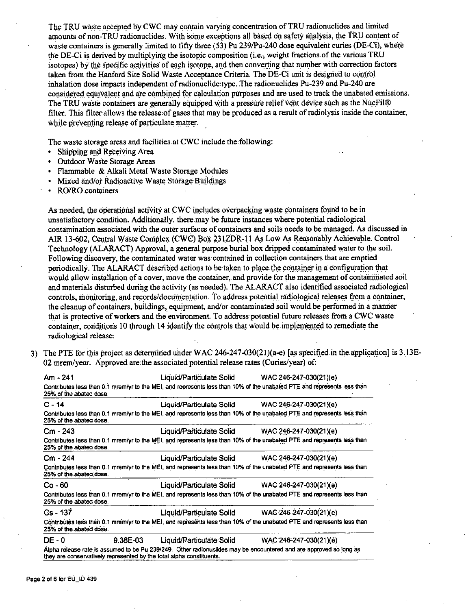The TRU waste accepted by CWC may contain varying concentration of TRU radionuclides and limited amounts of non-TRU radionuclides. With some exceptions all based on safety analysis, the TRU content of waste containers is generally limited to fifty three (53) Pu 239/Pu-240 dose equivalent curies (DE-Ci), where the DE-Ci is derived by multiplying the isotopic composition (i.e., weight fractions of the various TRU isotopes) by the specific activities of each isotope, and then converting that number with correction factors taken from the Hanford Site Solid Waste Acceptance Criteria. The DE-Ci unit is designed to control inhalation dose impacts independent of radionuclide type. The radionuclides Pu-239 and Pu-240 are considered equivalent and are combined for calculation purposes and are used to track the unabated emissions. The TRU waste containers are generally equipped with a pressure relief vent device such as the NucFil® filter. This filter allows the release of gases that may be produced as a result of radiolysis inside the container, while preventing release of particulate matter.

The waste storage areas and facilities at CWC include the following:

- $\bullet$ Shipping and Receiving Area
- Outdoor Waste Storage Areas
- Flammable & Alkali Metal Waste Storage Modules
- Mixed and/or Radioactive Waste Storage Buildings
- RO/RO containers

As needed, the operational activity at CWC includes overpacking waste containers found to be in unsatisfactory condition. Additionally, there may be future instances where potential radiological contamination associated with the outer surfaces of containers and soils needs to be managed. As discussed in AIR 13-602, Central Waste Complex (CWC) Box 231ZDR-11 As Low As Reasonably Achievable. Control Technology (ALARACT) Approval, a general purpose burial box dripped contaminated water to the soil. Following discovery, the contaminated water was contained in collection containers that are emptied periodically. The ALARACT described actions to be taken to place the container in a configuration that would allow installation of a cover, move the container, and provide for the management of contaminated soil and materials disturbed during the activity (as needed). The ALARACT also identified associated radiological controls, monitoring, and records/documentation. To address potential radiological releases from a container, the cleanup of containers, buildings, equipment, and/or contaminated soil would be performed in a manner that is protective of workers and the environment. To address potential future releases from a CWC waste container, conditions 10 through 14 identify the controls that would be implemented to remediate the radiological release.

3) The PTE for this project as determined under WAC 246-247-030(21)(a-e) [as specified in the application] is 3.13E-02 mrem/year. Approved are the associated potential release rates (Curies/year) of:

| Am - 241                |          | Liquid/Particulate Solid                                             | WAC 246-247-030(21)(e)                                                                                                  |
|-------------------------|----------|----------------------------------------------------------------------|-------------------------------------------------------------------------------------------------------------------------|
| 25% of the abated dose. |          |                                                                      | Contributes less than 0.1 mrem/yr to the MEI, and represents less than 10% of the unabated PTE and represents less than |
| $C - 14$                |          |                                                                      | Liquid/Particulate Solid WAC 246-247-030(21)(e)                                                                         |
| 25% of the abated dose. |          |                                                                      | Contributes less than 0.1 mrem/yr to the MEI, and represents less than 10% of the unabated PTE and represents less than |
| Cm - 243                |          | Liquid/Particulate Solid                                             | WAC 246-247-030(21)(e)                                                                                                  |
| 25% of the abated dose. |          |                                                                      | Contributes less than 0.1 mrem/yr to the MEI, and represents less than 10% of the unabated PTE and represents less than |
| Cm - 244                |          | Liquid/Particulate Solid                                             | WAC 246-247-030(21)(e)                                                                                                  |
| 25% of the abated dose. |          |                                                                      | Contributes less than 0.1 mrem/yr to the MEI, and represents less than 10% of the unabated PTE and represents less than |
| Co - 60                 |          |                                                                      | Liquid/Particulate Solid WAC 246-247-030(21)(e)                                                                         |
| 25% of the abated dose. |          |                                                                      | Contributes less than 0.1 mrem/yr to the MEI, and represents less than 10% of the unabated PTE and represents less than |
| $Cs - 137$              |          | Liquid/Particulate Solid                                             | WAC 246-247-030(21)(e)                                                                                                  |
| 25% of the abated dose. |          |                                                                      | Contributes less than 0.1 mrem/yr to the MEI, and represents less than 10% of the unabated PTE and represents less than |
| $DE - 0$                | 9.38E-03 | Liquid/Particulate Solid                                             | WAC 246-247-030(21)(e)                                                                                                  |
|                         |          | they are conservatively represented by the total alpha constituents. | Alpha release rate is assumed to be Pu 239/249. Other radionuclides may be encountered and are approved so long as      |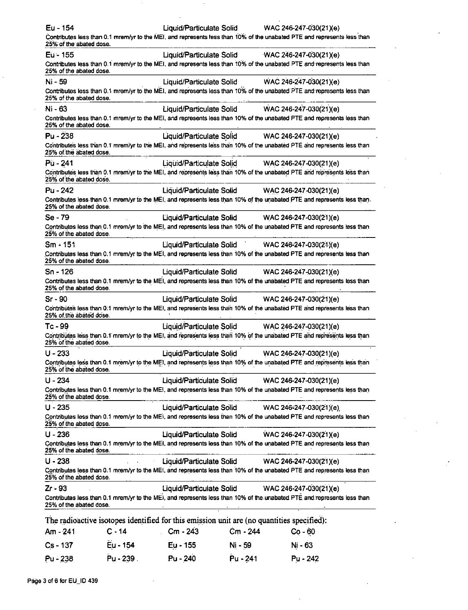| Eu - 154                |                                                                                           | Liquid/Particulate Solid |          | WAC 246-247-030(21)(e)                                                                                                   |
|-------------------------|-------------------------------------------------------------------------------------------|--------------------------|----------|--------------------------------------------------------------------------------------------------------------------------|
| 25% of the abated dose. |                                                                                           |                          |          | Contributes less than 0.1 mrem/yr to the MEI, and represents less than 10% of the unabated PTE and represents less than  |
| Eu - 155                |                                                                                           | Liquid/Particulate Solid |          | WAC $246-247-030(21)(e)$                                                                                                 |
| 25% of the abated dose. |                                                                                           |                          |          | Contributes less than 0.1 mrem/yr to the MEI, and represents less than 10% of the unabated PTE and represents less than  |
| Ni - 59                 |                                                                                           | Liquid/Particulate Solid |          | $WAC 246-247-030(21)(e)$                                                                                                 |
| 25% of the abated dose. |                                                                                           |                          |          | Contributes less than 0.1 mrem/yr to the MEI, and represents less than 10% of the unabated PTE and represents less than  |
| Ni - 63                 |                                                                                           | Liquid/Particulate Solid |          | WAC 246-247-030(21)(e)                                                                                                   |
| 25% of the abated dose. |                                                                                           |                          |          | Contributes less than 0.1 mrem/yr to the MEI, and represents less than 10% of the unabated PTE and represents less than  |
| Pu - 238                |                                                                                           | Liquid/Particulate Solid |          | WAC 246-247-030(21)(e)                                                                                                   |
| 25% of the abated dose. |                                                                                           |                          |          | Contributes less than 0.1 mrem/yr to the MEI, and represents less than 10% of the unabated PTE and represents less than  |
| Pü - 241                |                                                                                           | Liquid/Particulate Solid |          | WAC 246-247-030(21)(e)                                                                                                   |
| 25% of the abated dose. |                                                                                           |                          |          | Contributes less than 0.1 mrem/yr to the MEI, and represents less than 10% of the unabated PTE and represents less than  |
| $Pu - 242$              |                                                                                           | Liquid/Particulate Solid |          | WAC 246-247-030(21)(e)                                                                                                   |
| 25% of the abated dose. |                                                                                           |                          |          | Contributes less than 0.1 mrem/yr to the MEI, and represents less than 10% of the unabated PTE and represents less than. |
| Se - 79                 |                                                                                           | Liquid/Particulate Solid |          | WAC 246-247-030(21)(e)                                                                                                   |
| 25% of the abated dose. |                                                                                           |                          |          | Contributes less than 0.1 mrem/yr to the MEI, and represents less than 10% of the unabated PTE and represents less than  |
| $Sm - 151$              |                                                                                           | Liquid/Particulate Solid |          | WAC 246-247-030(21)(e)                                                                                                   |
| 25% of the abated dose. |                                                                                           |                          |          | Contributes less than 0.1 mrem/yr to the MEI, and represents less than 10% of the unabated PTE and represents less than  |
| Sn - 126                |                                                                                           | Liquid/Particulate Solid |          | WAC 246-247-030(21)(e)                                                                                                   |
| 25% of the abated dose. |                                                                                           |                          |          | Contributes less than 0.1 mrem/yr to the MEI, and represents less than 10% of the unabated PTE and represents less than  |
| $Sr-90$                 |                                                                                           | Liquid/Particulate Solid |          | WAC 246-247-030(21)(e)                                                                                                   |
|                         |                                                                                           |                          |          |                                                                                                                          |
| 25% of the abated dose. |                                                                                           |                          |          | Contributes less than 0.1 mrem/yr to the MEI, and represents less than 10% of the unabated PTE and represents less than  |
| Tc - 99                 |                                                                                           | Liquid/Particulate Solid |          | WAC 246-247-030(21)(e)                                                                                                   |
| 25% of the abated dose. |                                                                                           |                          |          | Contributes less than 0.1 mrem/yr to the MEI, and represents less than 10% of the unabated PTE and represents less than  |
| $U - 233$               |                                                                                           | Liquid/Particulate Solid |          | WAC 246-247-030(21)(e)                                                                                                   |
| 25% of the abated dose. |                                                                                           |                          |          | Contributes less than 0.1 mrem/yr to the MEI, and represents less than 10% of the unabated PTE and represents less than  |
| U - 234                 |                                                                                           | Liquid/Particulate Solid |          | WAC 246-247-030(21)(e)                                                                                                   |
| 25% of the abated dose. |                                                                                           |                          |          | Contributes less than 0.1 mrem/yr to the MEI, and represents less than 10% of the unabated PTE and represents less than  |
| $U - 235$               |                                                                                           | Liquid/Particulate Solid |          | WAC 246-247-030(21)(e)                                                                                                   |
| 25% of the abated dose. |                                                                                           |                          |          | Contributes less than 0.1 mrem/yr to the MEI, and represents less than 10% of the unabated PTE and represents less than  |
| U - 236                 |                                                                                           | Liquid/Particulate Solid |          | WAC 246-247-030(21)(e)                                                                                                   |
| 25% of the abated dose. |                                                                                           |                          |          | Contributes less than 0.1 mrem/yr to the MEI, and represents less than 10% of the unabated PTE and represents less than  |
| $U - 238$               |                                                                                           | Liquid/Particulate Solid |          | WAC 246-247-030(21)(e)                                                                                                   |
| 25% of the abated dose. |                                                                                           |                          |          | Contributes less than 0.1 mrem/yr to the MEI, and represents less than 10% of the unabated PTE and represents less than  |
| Zr - 93                 |                                                                                           | Liquid/Particulate Solid |          | WAC 246-247-030(21)(e)                                                                                                   |
| 25% of the abated dose. |                                                                                           |                          |          | Contributes less than 0.1 mrem/yr to the MEI, and represents less than 10% of the unabated PTE and represents less than  |
|                         | The radioactive isotopes identified for this emission unit are (no quantities specified): |                          |          |                                                                                                                          |
| Am - 241                | $C - 14$                                                                                  | Cm - 243                 | Cm - 244 | $Co - 60$                                                                                                                |
| $Cs - 137$              | Eu - 154<br>Pu - 239.                                                                     | Eu - 155<br>Pu - 240     | Ni - 59  | Ni - 63                                                                                                                  |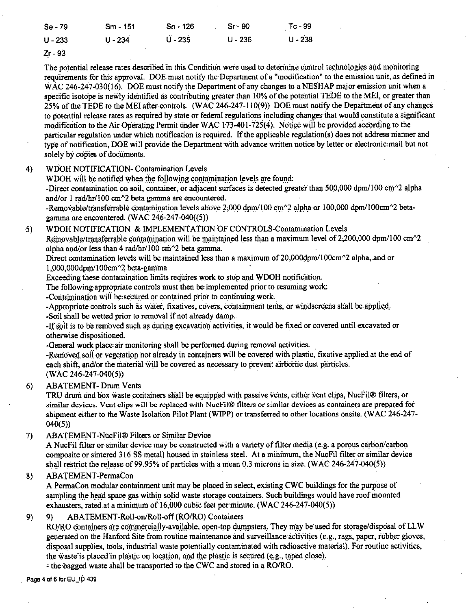| $Se-79$   | Sm - 151  | $Sn - 126$ | Sr - 90   | $Tc - 99$ |
|-----------|-----------|------------|-----------|-----------|
| $U - 233$ | $U - 234$ | $U - 235$  | $U - 236$ | $U - 238$ |
| $-1$      |           |            |           |           |

Zr - 93

The potential release rates described in this Condition were used to determine control technologies and monitoring requirements for this approval. DOE must notify the Department of a "modification" to the emission unit, as defined in WAC 246-247-030(16). DOE must notify the Department of any changes to a NESHAP major emission unit when a specific isotope is newly identified as contributing greater than 10% of the potential TEDE to the MEI, or greater than 25% of the TEDE to the MEI after controls. (WAC 246-247-110(9)) DOE must notify the Department of any changes to potential release rates as required by state or federal regulations including changes that would constitute a significant modification to the Air Operating Permit under WAC 173-401-725(4). Notice will be provided according to the particular regulation under which notification is required. If the applicable regulation(s) does not address manner and type of notification, DOE will provide the Department with advance written notice by letter or electronic mail but not solely by copies of documents.

WDOH NOTIFICATION- Contamination Levels 4)

WDOH will be notified when the following contamination levels are found:

-Direct contamination on soil, container, or adjacent surfaces is detected greater than 500,000 dpm/100 cm<sup>2</sup> alpha and/or 1 rad/hr/100 cm<sup>2</sup> beta gamma are encountered.

-Removable/transferrable contamination levels above 2,000 dpm/100 cm^2 alpha or 100,000 dpm/100cm^2 betagamma are encountered. (WAC 246-247-040 $((5))$ )

#### WDOH NOTIFICATION & IMPLEMENTATION OF CONTROLS-Contamination Levels  $5)$

Removable/transferrable contamination will be maintained less than a maximum level of 2,200,000 dpm/100 cm<sup> $\gamma$ </sup>2 alpha and/or less than 4 rad/hr/100 cm<sup>2</sup>2 beta gamma.

Direct contamination levels will be maintained less than a maximum of 20,000dpm/100cm^2 alpha, and or 1.000.000dpm/100cm^2 beta-gamma

Exceeding these contamination limits requires work to stop and WDOH notification.

The following appropriate controls must then be implemented prior to resuming work:

-Contamination will be secured or contained prior to continuing work.

-Appropriate controls such as water, fixatives, covers, containment tents, or windscreens shall be applied.

-Soil shall be wetted prior to removal if not already damp.

-If soil is to be removed such as during excavation activities, it would be fixed or covered until excavated or otherwise dispositioned.

-General work place air monitoring shall be performed during removal activities.

-Removed soil or vegetation not already in containers will be covered with plastic, fixative applied at the end of each shift, and/or the material will be covered as necessary to prevent airborne dust particles.  $(WAC 246-247-040(5))$ 

### **ABATEMENT- Drum Vents**  $6)$

TRU drum and box waste containers shall be equipped with passive vents, either vent clips, NucFil® filters, or similar devices. Vent clips will be replaced with NucFil® filters or similar devices as containers are prepared for shipment either to the Waste Isolation Pilot Plant (WIPP) or transferred to other locations onsite. (WAC 246-247- $040(5)$ 

### $\overline{7}$ **ABATEMENT-NucFil® Filters or Similar Device**

A NucFil filter or similar device may be constructed with a variety of filter media (e.g. a porous carbon/carbon composite or sintered 316 SS metal) housed in stainless steel. At a minimum, the NucFil filter or similar device shall restrict the release of 99.95% of particles with a mean 0.3 microns in size. (WAC 246-247-040(5))

### **ABATEMENT-PermaCon** 8)

A PermaCon modular containment unit may be placed in select, existing CWC buildings for the purpose of sampling the head space gas within solid waste storage containers. Such buildings would have roof mounted exhausters, rated at a minimum of 16,000 cubic feet per minute. (WAC 246-247-040(5))

#### 9) 9) ABATEMENT-Roll-on/Roll-off (RO/RO) Containers

RO/RO containers are commercially-available, open-top dumpsters. They may be used for storage/disposal of LLW generated on the Hanford Site from routine maintenance and surveillance activities (e.g., rags, paper, rubber gloves, disposal supplies, tools, industrial waste potentially contaminated with radioactive material). For routine activities, the waste is placed in plastic on location, and the plastic is secured (e.g., taped close).

- the bagged waste shall be transported to the CWC and stored in a RO/RO.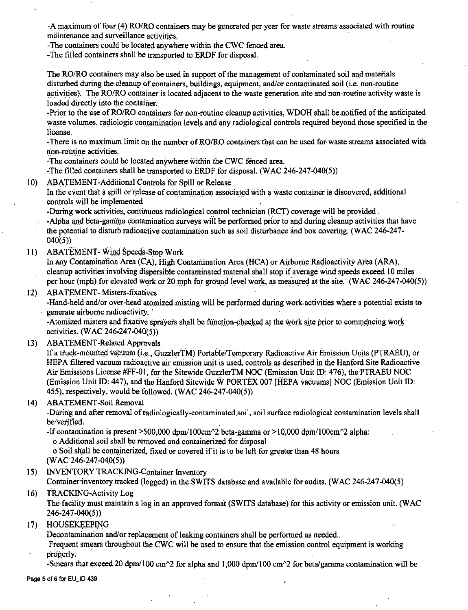-A maximum of four (4) RO/RO containers may be generated per year for waste streams·associated with routine maintenance and surveillance activities,

-The containers could be located anywhere within the CWC fenced area.

-The filled containers shall be transported to ERDF for disposal.

The RO/RO containers may also be used in support of the management of contaminated soil and materials disturbed during the cleanup of containers, buildings, equipment, and/or contaminated soil (i.e. non-routine activities). The RO/RO container is located adjacent to the waste generation site and non-routine activity waste is loaded directly into the container.

,Prior to the use of RO/RO containers for. non°routine cleanup activities, WDOH shall be.notified of the anticipated waste volumes, radiologic contamination levels and any radiological controls required beyond those specified in the license.

-.There is no maximum limit on the number of RO/RO containers that can be used for waste streams associated with  $non-routine$  activities.

-The containers could be located anywhere within the CWC fenced area.

-The filled containers shall be transported to ERDF for disposal.  $(WAC 246-247-040(5))$ 

10) ABATEMENT-Additional Controls for Spill or Release

In the event that a spill or release of contamination associated with a waste container is discovered, additional controls will be implemented

-During work activities, continuous radiological control technician (RCT) coverage will be provided .

-Alpha and beta-gamma contamination surveys will be performed prior to and during cleanup activities that have the potential to disturb radioactive contamination such as soil disturbance and box covering. (WAC 246-247- 040(5))

11) ABATEMENT- Wind Speeds-Stop Work

In any Contamination Area (CA), High Contamination Area (HCA) or Airborne Radioactivity Area (ARA), cleanup activities·involving dispersible contaminated material shall stop if average wind speeds exceed IO miles per hour (mph) for elevated work or 20 mph for ground level work, as measured at the site. (WAC 246-247-040(5))

### 12) ABATEMENT- Misters-fixatives

-Hand-held·and/or over-head atomized.misting will be performed during workactivities where a potential exists to generate airborne radioactivity. '

-Atomized misters and fixative sprayers shall be function-checked at the work site prior to commencing work activities. (WAC 246-247-040(5))

13) ABATEMENT-Related Approvals

If a truck-mounted vacuum (i.e., GuzzlerTM) Portable/Temporary Radioactive Air Emission Units (PTRAEU), or HEPA filtered vacuum radioactive air emission unit is used, controls as described in the Hanford Site Radioactive Air Emissions License #FF-01, for the Sitewide GuzzlerTM NOC (Emission Unit ID: 476), the PTRAEU NOC (Emission Unit ID: 447), and the Hanford Sitewide W PORTEX 007 [HEPA vacuums] NOC (Emission Unit ID: 455), respectively, would be followed. (WAC 246-247-040(5))

## 14) ABATEMENT-Soil Removal

-During and after removal of radiologically-contaminated soil, soil surface radiological contamination levels shall be verified.

 $4$ f contamination is present >500,000 dpm/100cm<sup> $\sim$ </sup>2 beta-gamma or >10,000 dpm/100cm $\sim$ 2 alpha:

o Additional soil shall be removed and containerized for disposal

o Soil shall be containerized, fixed or covered if it is to be left for greater than 48 hours (WAC 246-247-040(5))

15) INVENTORY TRACKING-Container Inventory

Container inventory tracked (logged) in the SWITS database and available for audits. (WAC 246-247-040(5)

## 16) TRACKING-Activity Log

The facility must maintain a log in an approved format (SWITS database) for this activity or emission unit. (WAC 246~247-040(5))

17) HOUSEKEEPING

Decontamination and/or replacement of leaking containers shall be performed as needed..

Frequent smears throughout the CWC will be used to ensure that the emission control equipment is working properly.

-Smears that exceed 20 dpm/100 cm $\textdegree{}2$  for alpha and 1,000 dpm/100 cm $\textdegree{}2$  for beta/gamma contamination will be